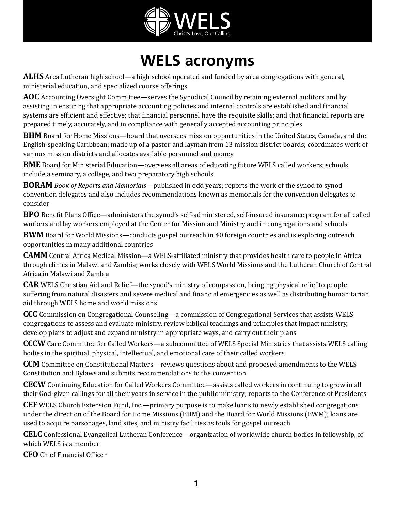

## **WELS acronyms**

**ALHS** Area Lutheran high school—a high school operated and funded by area congregations with general, ministerial education, and specialized course offerings

**AOC** Accounting Oversight Committee—serves the Synodical Council by retaining external auditors and by assisting in ensuring that appropriate accounting policies and internal controls are established and financial systems are efficient and effective; that financial personnel have the requisite skills; and that financial reports are prepared timely, accurately, and in compliance with generally accepted accounting principles

**BHM** Board for Home Missions—board that oversees mission opportunities in the United States, Canada, and the English-speaking Caribbean; made up of a pastor and layman from 13 mission district boards; coordinates work of various mission districts and allocates available personnel and money

**BME** Board for Ministerial Education—oversees all areas of educating future WELS called workers; schools include a seminary, a college, and two preparatory high schools

**BORAM** *Book of Reports and Memorials*—published in odd years; reports the work of the synod to synod convention delegates and also includes recommendations known as memorials for the convention delegates to consider

**BPO** Benefit Plans Office—administers the synod's self-administered, self-insured insurance program for all called workers and lay workers employed at the Center for Mission and Ministry and in congregations and schools

**BWM** Board for World Missions—conducts gospel outreach in 40 foreign countries and is exploring outreach opportunities in many additional countries

**CAMM** Central Africa Medical Mission—a WELS-affiliated ministry that provides health care to people in Africa through clinics in Malawi and Zambia; works closely with WELS World Missions and the Lutheran Church of Central Africa in Malawi and Zambia

**CAR** WELS Christian Aid and Relief—the synod's ministry of compassion, bringing physical relief to people suffering from natural disasters and severe medical and financial emergencies as well as distributing humanitarian aid through WELS home and world missions

**CCC** Commission on Congregational Counseling—a commission of Congregational Services that assists WELS congregations to assess and evaluate ministry, review biblical teachings and principles that impact ministry, develop plans to adjust and expand ministry in appropriate ways, and carry out their plans

**CCCW** Care Committee for Called Workers—a subcommittee of WELS Special Ministries that assists WELS calling bodies in the spiritual, physical, intellectual, and emotional care of their called workers

**CCM** Committee on Constitutional Matters—reviews questions about and proposed amendments to the WELS Constitution and Bylaws and submits recommendations to the convention

**CECW** Continuing Education for Called Workers Committee—assists called workers in continuing to grow in all their God-given callings for all their years in service in the public ministry; reports to the Conference of Presidents

**CEF** WELS Church Extension Fund, Inc.—primary purpose is to make loans to newly established congregations under the direction of the Board for Home Missions (BHM) and the Board for World Missions (BWM); loans are used to acquire parsonages, land sites, and ministry facilities as tools for gospel outreach

**CELC** Confessional Evangelical Lutheran Conference—organization of worldwide church bodies in fellowship, of which WELS is a member

**CFO** Chief Financial Officer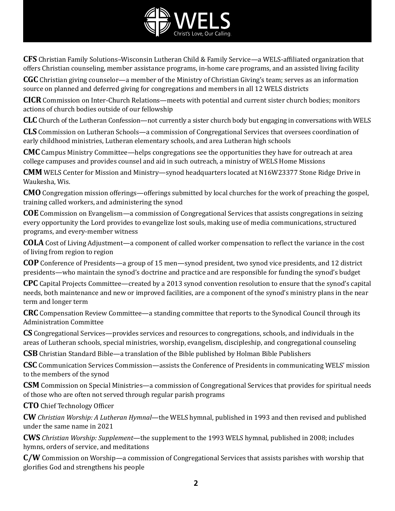

**CFS** Christian Family Solutions–Wisconsin Lutheran Child & Family Service—a WELS-affiliated organization that offers Christian counseling, member assistance programs, in-home care programs, and an assisted living facility

**CGC** Christian giving counselor—a member of the Ministry of Christian Giving's team; serves as an information source on planned and deferred giving for congregations and members in all 12 WELS districts

**CICR** Commission on Inter-Church Relations—meets with potential and current sister church bodies; monitors actions of church bodies outside of our fellowship

**CLC** Church of the Lutheran Confession—not currently a sister church body but engaging in conversations with WELS

**CLS** Commission on Lutheran Schools—a commission of Congregational Services that oversees coordination of early childhood ministries, Lutheran elementary schools, and area Lutheran high schools

**CMC** Campus Ministry Committee—helps congregations see the opportunities they have for outreach at area college campuses and provides counsel and aid in such outreach, a ministry of WELS Home Missions

**CMM** WELS Center for Mission and Ministry—synod headquarters located at N16W23377 Stone Ridge Drive in Waukesha, Wis.

**CMO** Congregation mission offerings—offerings submitted by local churches for the work of preaching the gospel, training called workers, and administering the synod

**COE** Commission on Evangelism—a commission of Congregational Services that assists congregations in seizing every opportunity the Lord provides to evangelize lost souls, making use of media communications, structured programs, and every-member witness

**COLA** Cost of Living Adjustment—a component of called worker compensation to reflect the variance in the cost of living from region to region

**COP** Conference of Presidents—a group of 15 men—synod president, two synod vice presidents, and 12 district presidents—who maintain the synod's doctrine and practice and are responsible for funding the synod's budget

**CPC** Capital Projects Committee—created by a 2013 synod convention resolution to ensure that the synod's capital needs, both maintenance and new or improved facilities, are a component of the synod's ministry plans in the near term and longer term

**CRC** Compensation Review Committee—a standing committee that reports to the Synodical Council through its Administration Committee

**CS** Congregational Services—provides services and resources to congregations, schools, and individuals in the areas of Lutheran schools, special ministries, worship, evangelism, discipleship, and congregational counseling

**CSB** Christian Standard Bible—a translation of the Bible published by Holman Bible Publishers

**CSC** Communication Services Commission—assists the Conference of Presidents in communicating WELS' mission to the members of the synod

**CSM** Commission on Special Ministries—a commission of Congregational Services that provides for spiritual needs of those who are often not served through regular parish programs

**CTO** Chief Technology Officer

**CW** *Christian Worship: A Lutheran Hymnal*—the WELS hymnal, published in 1993 and then revised and published under the same name in 2021

**CWS** *Christian Worship: Supplement*—the supplement to the 1993 WELS hymnal, published in 2008; includes hymns, orders of service, and meditations

**C/W** Commission on Worship—a commission of Congregational Services that assists parishes with worship that glorifies God and strengthens his people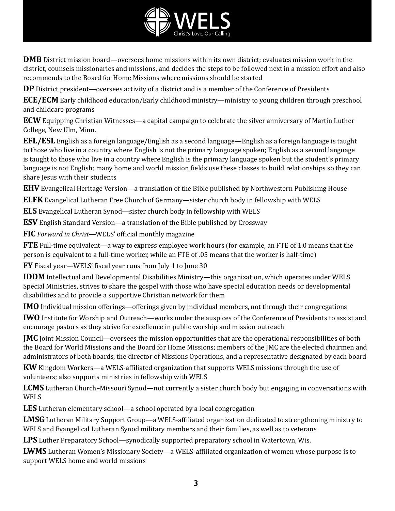

**DMB** District mission board—oversees home missions within its own district; evaluates mission work in the district, counsels missionaries and missions, and decides the steps to be followed next in a mission effort and also recommends to the Board for Home Missions where missions should be started

**DP** District president—oversees activity of a district and is a member of the Conference of Presidents

**ECE/ECM** Early childhood education/Early childhood ministry—ministry to young children through preschool and childcare programs

**ECW** Equipping Christian Witnesses—a capital campaign to celebrate the silver anniversary of Martin Luther College, New Ulm, Minn.

**EFL/ESL** English as a foreign language/English as a second language—English as a foreign language is taught to those who live in a country where English is not the primary language spoken; English as a second language is taught to those who live in a country where English is the primary language spoken but the student's primary language is not English; many home and world mission fields use these classes to build relationships so they can share Jesus with their students

**EHV** Evangelical Heritage Version—a translation of the Bible published by Northwestern Publishing House

**ELFK** Evangelical Lutheran Free Church of Germany—sister church body in fellowship with WELS

**ELS** Evangelical Lutheran Synod—sister church body in fellowship with WELS

**ESV** English Standard Version—a translation of the Bible published by Crossway

**FIC** *Forward in Christ*—WELS' official monthly magazine

**FTE** Full-time equivalent—a way to express employee work hours (for example, an FTE of 1.0 means that the person is equivalent to a full-time worker, while an FTE of .05 means that the worker is half-time)

**FY** Fiscal year—WELS' fiscal year runs from July 1 to June 30

**IDDM** Intellectual and Developmental Disabilities Ministry—this organization, which operates under WELS Special Ministries, strives to share the gospel with those who have special education needs or developmental disabilities and to provide a supportive Christian network for them

**IMO** Individual mission offerings—offerings given by individual members, not through their congregations

**IWO** Institute for Worship and Outreach—works under the auspices of the Conference of Presidents to assist and encourage pastors as they strive for excellence in public worship and mission outreach

**JMC** Joint Mission Council—oversees the mission opportunities that are the operational responsibilities of both the Board for World Missions and the Board for Home Missions; members of the JMC are the elected chairmen and administrators of both boards, the director of Missions Operations, and a representative designated by each board

**KW** Kingdom Workers—a WELS-affiliated organization that supports WELS missions through the use of volunteers; also supports ministries in fellowship with WELS

**LCMS** Lutheran Church–Missouri Synod—not currently a sister church body but engaging in conversations with WELS

**LES** Lutheran elementary school—a school operated by a local congregation

**LMSG** Lutheran Military Support Group—a WELS-affiliated organization dedicated to strengthening ministry to WELS and Evangelical Lutheran Synod military members and their families, as well as to veterans

**LPS** Luther Preparatory School—synodically supported preparatory school in Watertown, Wis.

**LWMS** Lutheran Women's Missionary Society—a WELS-affiliated organization of women whose purpose is to support WELS home and world missions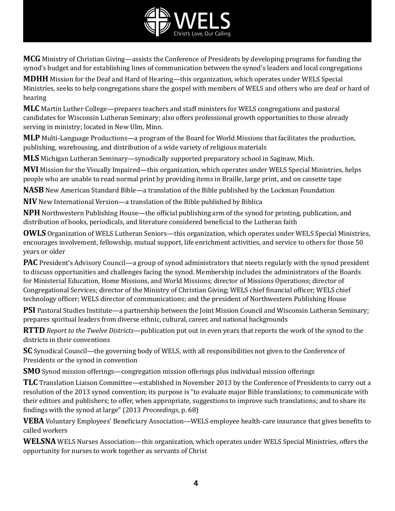

**MCG** Ministry of Christian Giving—assists the Conference of Presidents by developing programs for funding the synod's budget and for establishing lines of communication between the synod's leaders and local congregations

**MDHH** Mission for the Deaf and Hard of Hearing—this organization, which operates under WELS Special Ministries, seeks to help congregations share the gospel with members of WELS and others who are deaf or hard of hearing

**MLC** Martin Luther College—prepares teachers and staff ministers for WELS congregations and pastoral candidates for Wisconsin Lutheran Seminary; also offers professional growth opportunities to those already serving in ministry; located in New Ulm, Minn.

**MLP** Multi-Language Productions—a program of the Board for World Missions that facilitates the production, publishing, warehousing, and distribution of a wide variety of religious materials

**MLS** Michigan Lutheran Seminary—synodically supported preparatory school in Saginaw, Mich.

**MVI** Mission for the Visually Impaired—this organization, which operates under WELS Special Ministries, helps people who are unable to read normal print by providing items in Braille, large print, and on cassette tape

**NASB** New American Standard Bible—a translation of the Bible published by the Lockman Foundation

**NIV** New International Version—a translation of the Bible published by Biblica

**NPH** Northwestern Publishing House—the official publishing arm of the synod for printing, publication, and distribution of books, periodicals, and literature considered beneficial to the Lutheran faith

**OWLS** Organization of WELS Lutheran Seniors—this organization, which operates under WELS Special Ministries, encourages involvement, fellowship, mutual support, life enrichment activities, and service to others for those 50 years or older

**PAC** President's Advisory Council—a group of synod administrators that meets regularly with the synod president to discuss opportunities and challenges facing the synod. Membership includes the administrators of the Boards for Ministerial Education, Home Missions, and World Missions; director of Missions Operations; director of Congregational Services; director of the Ministry of Christian Giving; WELS chief financial officer; WELS chief technology officer; WELS director of communications; and the president of Northwestern Publishing House

**PSI** Pastoral Studies Institute—a partnership between the Joint Mission Council and Wisconsin Lutheran Seminary; prepares spiritual leaders from diverse ethnic, cultural, career, and national backgrounds

**RTTD** *Report to the Twelve Districts*—publication put out in even years that reports the work of the synod to the districts in their conventions

**SC** Synodical Council—the governing body of WELS, with all responsibilities not given to the Conference of Presidents or the synod in convention

**SMO** Synod mission offerings—congregation mission offerings plus individual mission offerings

**TLC** Translation Liaison Committee—established in November 2013 by the Conference of Presidents to carry out a resolution of the 2013 synod convention; its purpose is "to evaluate major Bible translations; to communicate with their editors and publishers; to offer, when appropriate, suggestions to improve such translations; and to share its findings with the synod at large" (2013 *Proceedings*, p. 68)

**VEBA** Voluntary Employees' Beneficiary Association—WELS employee health-care insurance that gives benefits to called workers

**WELSNA** WELS Nurses Association—this organization, which operates under WELS Special Ministries, offers the opportunity for nurses to work together as servants of Christ